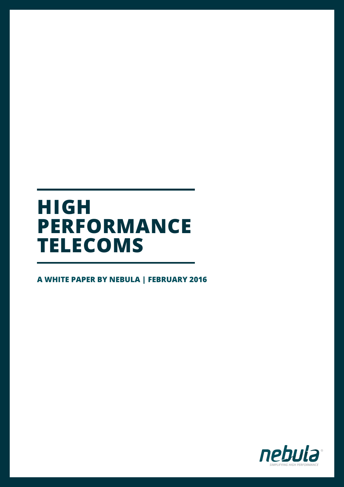### **HIGH PERFORMANCE TELECOMS**

**A WHITE PAPER BY NEBULA | FEBRUARY 2016**

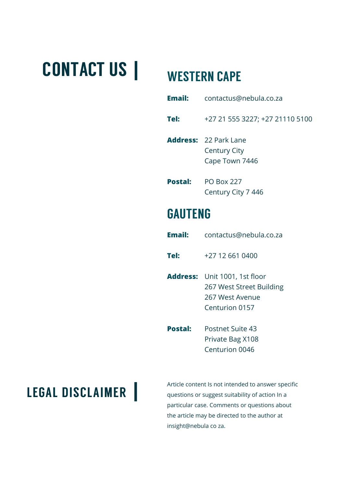# CONTACT US **|** WESTERN CAPE

| <b>Email:</b>  | contactus@nebula.co.za                                         |
|----------------|----------------------------------------------------------------|
| Tel:           | +27 21 555 3227; +27 21110 5100                                |
|                | <b>Address: 22 Park Lane</b><br>Century City<br>Cape Town 7446 |
| <b>Postal:</b> | <b>PO Box 227</b>                                              |

Century City 7 446

### GAUTENG

| <b>Email:</b>  | contactus@nebula.co.za                                                                                |
|----------------|-------------------------------------------------------------------------------------------------------|
| Tel:           | +27 12 661 0400                                                                                       |
|                | <b>Address:</b> Unit 1001, 1st floor<br>267 West Street Building<br>267 West Avenue<br>Centurion 0157 |
| <b>Postal:</b> | Postnet Suite 43<br>Private Bag X108<br>Centurion 0046                                                |

**LEGAL DISCLAIMER I** *Article content Is not intended to answer specific**questions or suggest suitability of action In a* questions or suggest suitability of action In a particular case. Comments or questions about the article may be directed to the author at insight@nebula co za.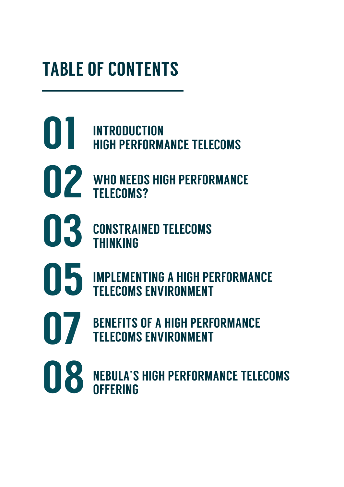# TABLE OF CONTENTS

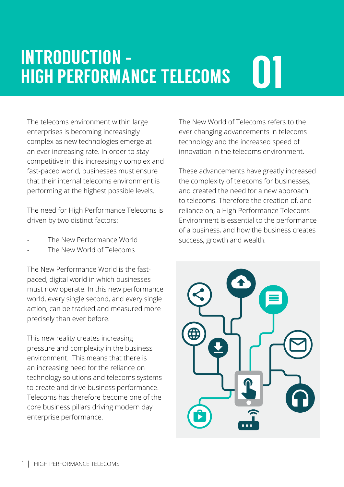# 01 INTRODUCTION **-** HIGH PERFORMANCE TELECOMS

The telecoms environment within large enterprises is becoming increasingly complex as new technologies emerge at an ever increasing rate. In order to stay competitive in this increasingly complex and fast-paced world, businesses must ensure that their internal telecoms environment is performing at the highest possible levels.

The need for High Performance Telecoms is driven by two distinct factors:

- The New Performance World
- The New World of Telecoms

The New Performance World is the fastpaced, digital world in which businesses must now operate. In this new performance world, every single second, and every single action, can be tracked and measured more precisely than ever before.

This new reality creates increasing pressure and complexity in the business environment. This means that there is an increasing need for the reliance on technology solutions and telecoms systems to create and drive business performance. Telecoms has therefore become one of the core business pillars driving modern day enterprise performance.

The New World of Telecoms refers to the ever changing advancements in telecoms technology and the increased speed of innovation in the telecoms environment.

These advancements have greatly increased the complexity of telecoms for businesses, and created the need for a new approach to telecoms. Therefore the creation of, and reliance on, a High Performance Telecoms Environment is essential to the performance of a business, and how the business creates success, growth and wealth.

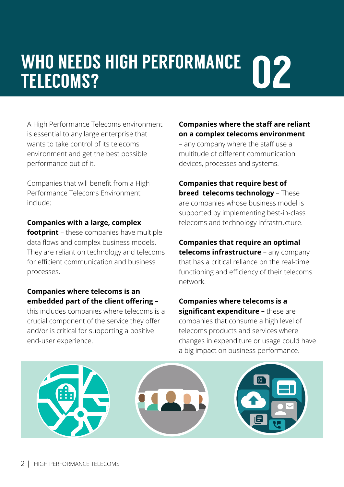## WHO NEEDS HIGH PERFORMANCE **02** TELECOMS?

A High Performance Telecoms environment is essential to any large enterprise that wants to take control of its telecoms environment and get the best possible performance out of it.

Companies that will benefit from a High Performance Telecoms Environment include:

#### **Companies with a large, complex**

**footprint** – these companies have multiple data flows and complex business models. They are reliant on technology and telecoms for efficient communication and business processes.

### **Companies where telecoms is an embedded part of the client offering –**

this includes companies where telecoms is a crucial component of the service they offer and/or is critical for supporting a positive end-user experience.

#### **Companies where the staff are reliant on a complex telecoms environment**

– any company where the staff use a multitude of different communication devices, processes and systems.

**Companies that require best of breed telecoms technology** – These are companies whose business model is supported by implementing best-in-class telecoms and technology infrastructure.

**Companies that require an optimal telecoms infrastructure** – any company that has a critical reliance on the real-time functioning and efficiency of their telecoms network.

**Companies where telecoms is a significant expenditure –** these are companies that consume a high level of telecoms products and services where changes in expenditure or usage could have a big impact on business performance.

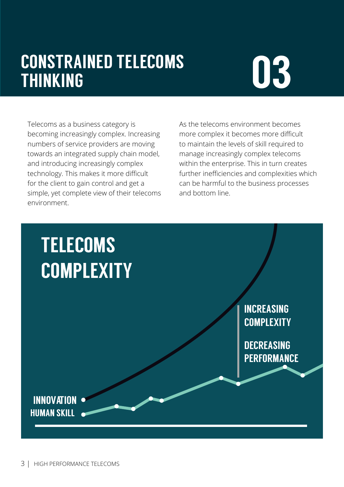## CONSTRAINED TELECOMS<br>THINKING THINKING

Telecoms as a business category is becoming increasingly complex. Increasing numbers of service providers are moving towards an integrated supply chain model, and introducing increasingly complex technology. This makes it more difficult for the client to gain control and get a simple, yet complete view of their telecoms environment.

As the telecoms environment becomes more complex it becomes more difficult to maintain the levels of skill required to manage increasingly complex telecoms within the enterprise. This in turn creates further inefficiencies and complexities which can be harmful to the business processes and bottom line.

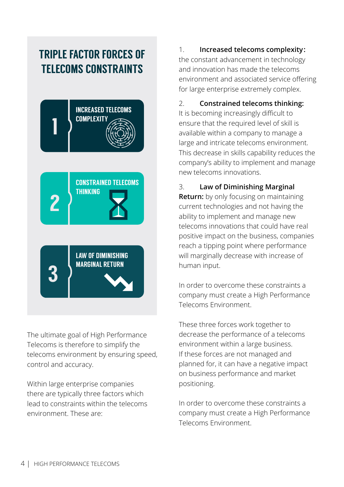### TRIPLE FACTOR FORCES OF TELECOMS CONSTRAINTS



The ultimate goal of High Performance Telecoms is therefore to simplify the telecoms environment by ensuring speed, control and accuracy.

Within large enterprise companies there are typically three factors which lead to constraints within the telecoms environment. These are:

### 1. **Increased telecoms complexity:**

the constant advancement in technology and innovation has made the telecoms environment and associated service offering for large enterprise extremely complex.

#### 2. **Constrained telecoms thinking:**

It is becoming increasingly difficult to ensure that the required level of skill is available within a company to manage a large and intricate telecoms environment. This decrease in skills capability reduces the company's ability to implement and manage new telecoms innovations.

### 3. **Law of Diminishing Marginal**

**Return:** by only focusing on maintaining current technologies and not having the ability to implement and manage new telecoms innovations that could have real positive impact on the business, companies reach a tipping point where performance will marginally decrease with increase of human input.

In order to overcome these constraints a company must create a High Performance Telecoms Environment.

These three forces work together to decrease the performance of a telecoms environment within a large business. If these forces are not managed and planned for, it can have a negative impact on business performance and market positioning.

In order to overcome these constraints a company must create a High Performance Telecoms Environment.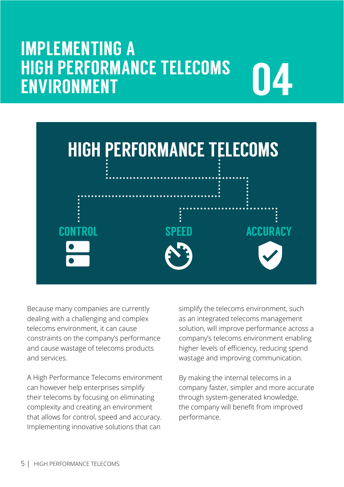### IMPLEMENTING A HIGH PERFORMANCE TELECOMS ENVIRONMENT





Because many companies are currently dealing with a challenging and complex telecoms environment, it can cause constraints on the company's performance and cause wastage of telecoms products and services.

A High Performance Telecoms environment can however help enterprises simplify their telecoms by focusing on eliminating complexity and creating an environment that allows for control, speed and accuracy. Implementing innovative solutions that can

simplify the telecoms environment, such as an integrated telecoms management solution, will improve performance across a company's telecoms environment enabling higher levels of efficiency, reducing spend wastage and improving communication.

By making the internal telecoms in a company faster, simpler and more accurate through system-generated knowledge, the company will benefit from improved performance.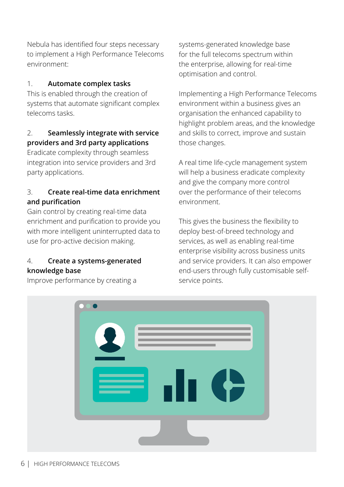Nebula has identified four steps necessary to implement a High Performance Telecoms environment:

### 1. **Automate complex tasks**

This is enabled through the creation of systems that automate significant complex telecoms tasks.

### 2. **Seamlessly integrate with service providers and 3rd party applications**

Eradicate complexity through seamless integration into service providers and 3rd party applications.

### 3. **Create real-time data enrichment and purification**

Gain control by creating real-time data enrichment and purification to provide you with more intelligent uninterrupted data to use for pro-active decision making.

#### 4. **Create a systems-generated knowledge base**

Improve performance by creating a

systems-generated knowledge base for the full telecoms spectrum within the enterprise, allowing for real-time optimisation and control.

Implementing a High Performance Telecoms environment within a business gives an organisation the enhanced capability to highlight problem areas, and the knowledge and skills to correct, improve and sustain those changes.

A real time life-cycle management system will help a business eradicate complexity and give the company more control over the performance of their telecoms environment.

This gives the business the flexibility to deploy best-of-breed technology and services, as well as enabling real-time enterprise visibility across business units and service providers. It can also empower end-users through fully customisable selfservice points.

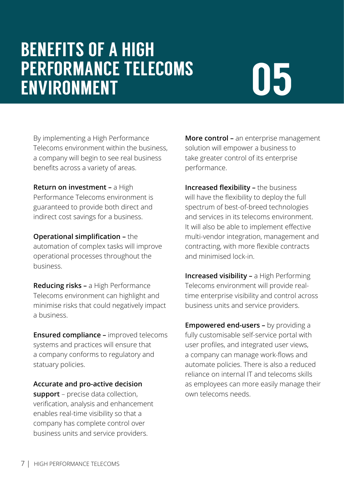## BENEFITS OF A HIGH PERFORMANCE TELECOMS ENVIRONMENT

# 05

By implementing a High Performance Telecoms environment within the business, a company will begin to see real business benefits across a variety of areas.

**Return on investment –** a High Performance Telecoms environment is guaranteed to provide both direct and indirect cost savings for a business.

**Operational simplification –** the automation of complex tasks will improve operational processes throughout the business.

**Reducing risks –** a High Performance Telecoms environment can highlight and minimise risks that could negatively impact a business.

**Ensured compliance –** improved telecoms systems and practices will ensure that a company conforms to regulatory and statuary policies.

**Accurate and pro-active decision** 

**support** – precise data collection, verification, analysis and enhancement enables real-time visibility so that a company has complete control over business units and service providers.

**More control –** an enterprise management solution will empower a business to take greater control of its enterprise performance.

**Increased flexibility –** the business will have the flexibility to deploy the full spectrum of best-of-breed technologies and services in its telecoms environment. It will also be able to implement effective multi-vendor integration, management and contracting, with more flexible contracts and minimised lock-in.

**Increased visibility –** a High Performing Telecoms environment will provide realtime enterprise visibility and control across business units and service providers.

**Empowered end-users –** by providing a fully customisable self-service portal with user profiles, and integrated user views, a company can manage work-flows and automate policies. There is also a reduced reliance on internal IT and telecoms skills as employees can more easily manage their own telecoms needs.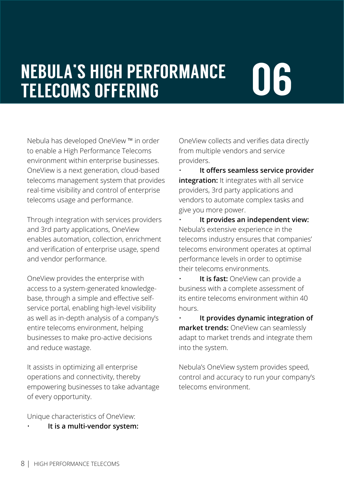### NEBULA'S HIGH PERFORMANCE<br>TELECOMS OFFERING TELECOMS OFFERING

Nebula has developed OneView ™ in order to enable a High Performance Telecoms environment within enterprise businesses. OneView is a next generation, cloud-based telecoms management system that provides real-time visibility and control of enterprise telecoms usage and performance.

Through integration with services providers and 3rd party applications, OneView enables automation, collection, enrichment and verification of enterprise usage, spend and vendor performance.

OneView provides the enterprise with access to a system-generated knowledgebase, through a simple and effective selfservice portal, enabling high-level visibility as well as in-depth analysis of a company's entire telecoms environment, helping businesses to make pro-active decisions and reduce wastage.

It assists in optimizing all enterprise operations and connectivity, thereby empowering businesses to take advantage of every opportunity.

Unique characteristics of OneView:

• **It is a multi-vendor system:** 

OneView collects and verifies data directly from multiple vendors and service providers.

• **It offers seamless service provider integration:** It integrates with all service providers, 3rd party applications and vendors to automate complex tasks and give you more power.

• **It provides an independent view:**  Nebula's extensive experience in the telecoms industry ensures that companies' telecoms environment operates at optimal performance levels in order to optimise their telecoms environments.

**It is fast:** OneView can provide a business with a complete assessment of its entire telecoms environment within 40 hours.

• **It provides dynamic integration of market trends:** OneView can seamlessly adapt to market trends and integrate them into the system.

Nebula's OneView system provides speed, control and accuracy to run your company's telecoms environment.